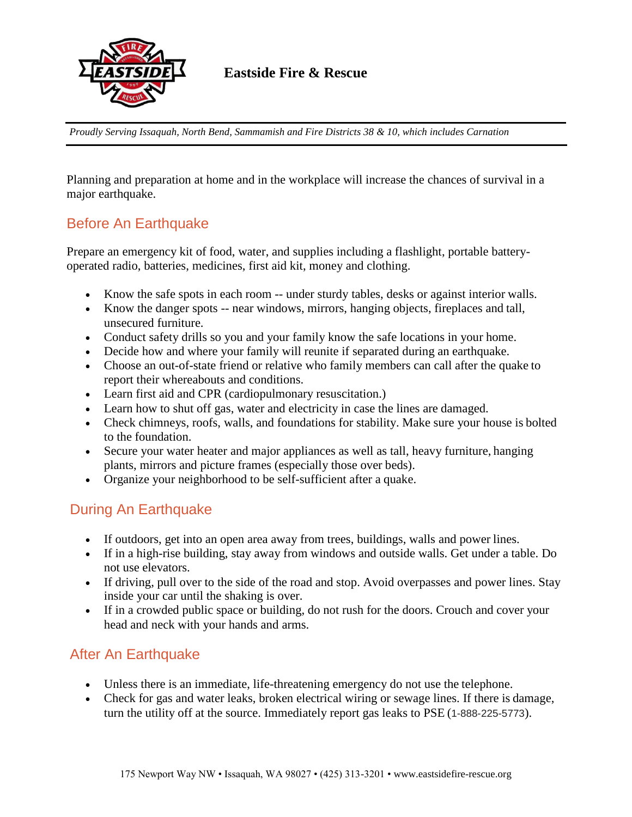

**Eastside Fire & Rescue**

*Proudly Serving Issaquah, North Bend, Sammamish and Fire Districts 38 & 10, which includes Carnation*

Planning and preparation at home and in the workplace will increase the chances of survival in a major earthquake.

## Before An Earthquake

Prepare an emergency kit of food, water, and supplies including a flashlight, portable batteryoperated radio, batteries, medicines, first aid kit, money and clothing.

- Know the safe spots in each room -- under sturdy tables, desks or against interior walls.
- Know the danger spots -- near windows, mirrors, hanging objects, fireplaces and tall, unsecured furniture.
- Conduct safety drills so you and your family know the safe locations in your home.
- Decide how and where your family will reunite if separated during an earthquake.
- Choose an out-of-state friend or relative who family members can call after the quake to report their whereabouts and conditions.
- Learn first aid and CPR (cardiopulmonary resuscitation.)
- Learn how to shut off gas, water and electricity in case the lines are damaged.
- Check chimneys, roofs, walls, and foundations for stability. Make sure your house is bolted to the foundation.
- Secure your water heater and major appliances as well as tall, heavy furniture, hanging plants, mirrors and picture frames (especially those over beds).
- Organize your neighborhood to be self-sufficient after a quake.

## During An Earthquake

- If outdoors, get into an open area away from trees, buildings, walls and power lines.
- If in a high-rise building, stay away from windows and outside walls. Get under a table. Do not use elevators.
- If driving, pull over to the side of the road and stop. Avoid overpasses and power lines. Stay inside your car until the shaking is over.
- If in a crowded public space or building, do not rush for the doors. Crouch and cover your head and neck with your hands and arms.

## After An Earthquake

- Unless there is an immediate, life-threatening emergency do not use the telephone.
- Check for gas and water leaks, broken electrical wiring or sewage lines. If there is damage, turn the utility off at the source. Immediately report gas leaks to PSE (1-888-225-5773).